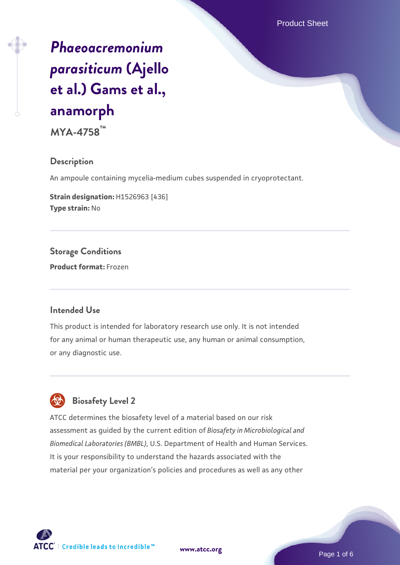Product Sheet

# *[Phaeoacremonium](https://www.atcc.org/products/mya-4758) [parasiticum](https://www.atcc.org/products/mya-4758)* **[\(Ajello](https://www.atcc.org/products/mya-4758) [et al.\) Gams et al.,](https://www.atcc.org/products/mya-4758) [anamorph](https://www.atcc.org/products/mya-4758)**

**MYA-4758™**

#### **Description**

An ampoule containing mycelia-medium cubes suspended in cryoprotectant.

**Strain designation:** H1526963 [436] **Type strain:** No

**Storage Conditions Product format:** Frozen

#### **Intended Use**

This product is intended for laboratory research use only. It is not intended for any animal or human therapeutic use, any human or animal consumption, or any diagnostic use.



# **Biosafety Level 2**

ATCC determines the biosafety level of a material based on our risk assessment as guided by the current edition of *Biosafety in Microbiological and Biomedical Laboratories (BMBL)*, U.S. Department of Health and Human Services. It is your responsibility to understand the hazards associated with the material per your organization's policies and procedures as well as any other



**[www.atcc.org](http://www.atcc.org)**

Page 1 of 6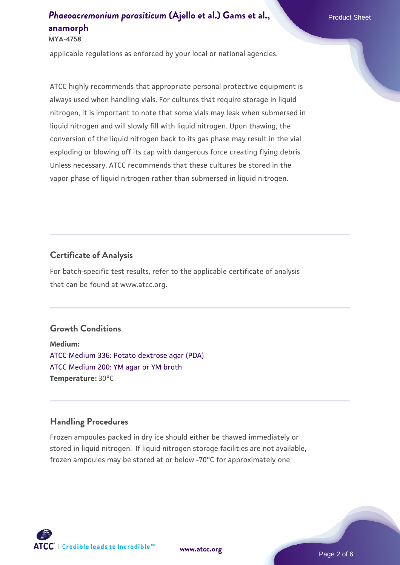#### **MYA-4758**

applicable regulations as enforced by your local or national agencies.

ATCC highly recommends that appropriate personal protective equipment is always used when handling vials. For cultures that require storage in liquid nitrogen, it is important to note that some vials may leak when submersed in liquid nitrogen and will slowly fill with liquid nitrogen. Upon thawing, the conversion of the liquid nitrogen back to its gas phase may result in the vial exploding or blowing off its cap with dangerous force creating flying debris. Unless necessary, ATCC recommends that these cultures be stored in the vapor phase of liquid nitrogen rather than submersed in liquid nitrogen.

## **Certificate of Analysis**

For batch-specific test results, refer to the applicable certificate of analysis that can be found at www.atcc.org.

#### **Growth Conditions**

**Medium:**  [ATCC Medium 336: Potato dextrose agar \(PDA\)](https://www.atcc.org/-/media/product-assets/documents/microbial-media-formulations/3/3/6/atcc-medium-336.pdf?rev=d9160ad44d934cd8b65175461abbf3b9) [ATCC Medium 200: YM agar or YM broth](https://www.atcc.org/-/media/product-assets/documents/microbial-media-formulations/2/0/0/atcc-medium-200.pdf?rev=ac40fd74dc13433a809367b0b9da30fc) **Temperature:** 30°C

## **Handling Procedures**

Frozen ampoules packed in dry ice should either be thawed immediately or stored in liquid nitrogen. If liquid nitrogen storage facilities are not available, frozen ampoules may be stored at or below -70°C for approximately one



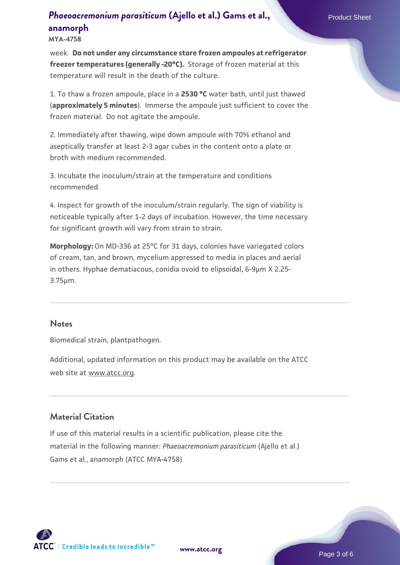**MYA-4758**

week. **Do not under any circumstance store frozen ampoules at refrigerator freezer temperatures (generally -20°C).** Storage of frozen material at this temperature will result in the death of the culture.

1. To thaw a frozen ampoule, place in a **2530 °C** water bath, until just thawed (**approximately 5 minutes**). Immerse the ampoule just sufficient to cover the frozen material. Do not agitate the ampoule.

2. Immediately after thawing, wipe down ampoule with 70% ethanol and aseptically transfer at least 2-3 agar cubes in the content onto a plate or broth with medium recommended.

3. Incubate the inoculum/strain at the temperature and conditions recommended.

4. Inspect for growth of the inoculum/strain regularly. The sign of viability is noticeable typically after 1-2 days of incubation. However, the time necessary for significant growth will vary from strain to strain.

**Morphology:** On MD-336 at 25°C for 31 days, colonies have variegated colors of cream, tan, and brown, mycelium appressed to media in places and aerial in others. Hyphae dematiacous, conidia ovoid to elipsoidal, 6-9µm X 2.25- 3.75µm.

#### **Notes**

Biomedical strain, plantpathogen.

Additional, updated information on this product may be available on the ATCC web site at www.atcc.org.

#### **Material Citation**

If use of this material results in a scientific publication, please cite the material in the following manner: *Phaeoacremonium parasiticum* (Ajello et al.) Gams et al., anamorph (ATCC MYA-4758)

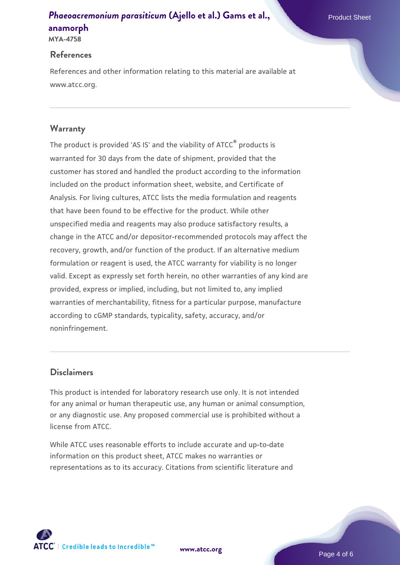## **References**

References and other information relating to this material are available at www.atcc.org.

# **Warranty**

The product is provided 'AS IS' and the viability of ATCC® products is warranted for 30 days from the date of shipment, provided that the customer has stored and handled the product according to the information included on the product information sheet, website, and Certificate of Analysis. For living cultures, ATCC lists the media formulation and reagents that have been found to be effective for the product. While other unspecified media and reagents may also produce satisfactory results, a change in the ATCC and/or depositor-recommended protocols may affect the recovery, growth, and/or function of the product. If an alternative medium formulation or reagent is used, the ATCC warranty for viability is no longer valid. Except as expressly set forth herein, no other warranties of any kind are provided, express or implied, including, but not limited to, any implied warranties of merchantability, fitness for a particular purpose, manufacture according to cGMP standards, typicality, safety, accuracy, and/or noninfringement.

## **Disclaimers**

This product is intended for laboratory research use only. It is not intended for any animal or human therapeutic use, any human or animal consumption, or any diagnostic use. Any proposed commercial use is prohibited without a license from ATCC.

While ATCC uses reasonable efforts to include accurate and up-to-date information on this product sheet, ATCC makes no warranties or representations as to its accuracy. Citations from scientific literature and



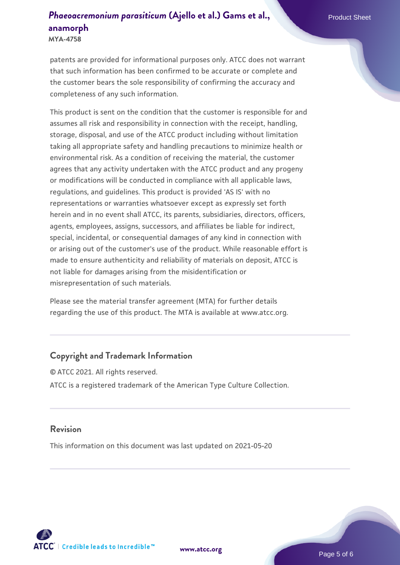**MYA-4758**

patents are provided for informational purposes only. ATCC does not warrant that such information has been confirmed to be accurate or complete and the customer bears the sole responsibility of confirming the accuracy and completeness of any such information.

This product is sent on the condition that the customer is responsible for and assumes all risk and responsibility in connection with the receipt, handling, storage, disposal, and use of the ATCC product including without limitation taking all appropriate safety and handling precautions to minimize health or environmental risk. As a condition of receiving the material, the customer agrees that any activity undertaken with the ATCC product and any progeny or modifications will be conducted in compliance with all applicable laws, regulations, and guidelines. This product is provided 'AS IS' with no representations or warranties whatsoever except as expressly set forth herein and in no event shall ATCC, its parents, subsidiaries, directors, officers, agents, employees, assigns, successors, and affiliates be liable for indirect, special, incidental, or consequential damages of any kind in connection with or arising out of the customer's use of the product. While reasonable effort is made to ensure authenticity and reliability of materials on deposit, ATCC is not liable for damages arising from the misidentification or misrepresentation of such materials.

Please see the material transfer agreement (MTA) for further details regarding the use of this product. The MTA is available at www.atcc.org.

## **Copyright and Trademark Information**

© ATCC 2021. All rights reserved. ATCC is a registered trademark of the American Type Culture Collection.

#### **Revision**

This information on this document was last updated on 2021-05-20



**[www.atcc.org](http://www.atcc.org)**